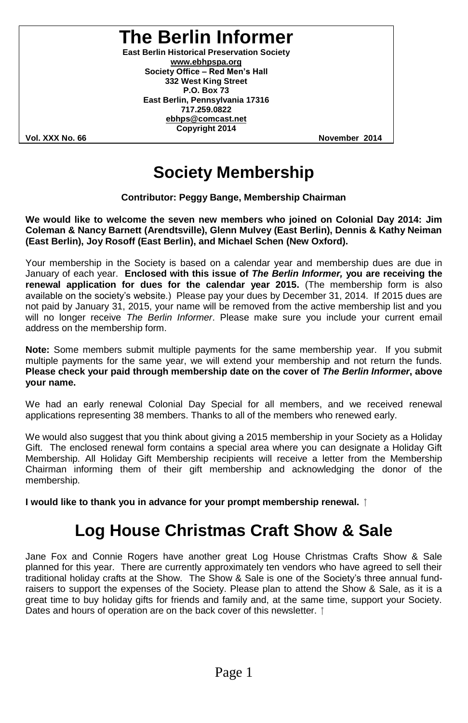**The Berlin Informer**

**East Berlin Historical Preservation Society www.ebhpspa.org** Society Office - Red Men's Hall **332 West King Street P.O. Box 73 East Berlin, Pennsylvania 17316 717.259.0822 ebhps@comcast.net Copyright 2014**

**Vol. XXX No. 66 November 2014**

### **Society Membership**

**Contributor: Peggy Bange, Membership Chairman**

**We would like to welcome the seven new members who joined on Colonial Day 2014: Jim Coleman & Nancy Barnett (Arendtsville), Glenn Mulvey (East Berlin), Dennis & Kathy Neiman (East Berlin), Joy Rosoff (East Berlin), and Michael Schen (New Oxford).**

Your membership in the Society is based on a calendar year and membership dues are due in January of each year. **Enclosed with this issue of** *The Berlin Informer,* **you are receiving the renewal application for dues for the calendar year 2015.** (The membership form is also available on the society's website.) Please pay your dues by December 31, 2014. If 2015 dues are not paid by January 31, 2015, your name will be removed from the active membership list and you will no longer receive *The Berlin Informer*. Please make sure you include your current email address on the membership form.

**Note:** Some members submit multiple payments for the same membership year. If you submit multiple payments for the same year, we will extend your membership and not return the funds. **Please check your paid through membership date on the cover of** *The Berlin Informer***, above your name.**

We had an early renewal Colonial Day Special for all members, and we received renewal applications representing 38 members. Thanks to all of the members who renewed early.

We would also suggest that you think about giving a 2015 membership in your Society as a Holiday Gift. The enclosed renewal form contains a special area where you can designate a Holiday Gift Membership. All Holiday Gift Membership recipients will receive a letter from the Membership Chairman informing them of their gift membership and acknowledging the donor of the membership.

**I would like to thank you in advance for your prompt membership renewal.**

### **Log House Christmas Craft Show & Sale**

Jane Fox and Connie Rogers have another great Log House Christmas Crafts Show & Sale planned for this year. There are currently approximately ten vendors who have agreed to sell their traditional holiday crafts at the Show. The Show & Sale is one of the Society's three annual fundraisers to support the expenses of the Society. Please plan to attend the Show & Sale, as it is a great time to buy holiday gifts for friends and family and, at the same time, support your Society. Dates and hours of operation are on the back cover of this newsletter.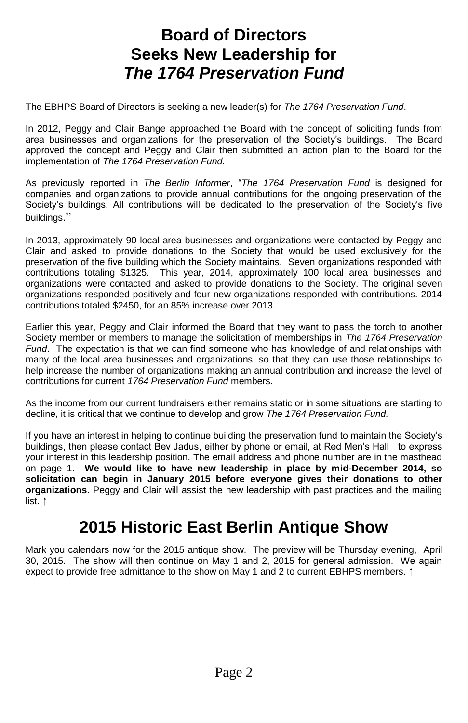### **Board of Directors Seeks New Leadership for** *The 1764 Preservation Fund*

The EBHPS Board of Directors is seeking a new leader(s) for *The 1764 Preservation Fund*.

In 2012, Peggy and Clair Bange approached the Board with the concept of soliciting funds from area businesses and organizations for the preservation of the Society's buildings. The Board approved the concept and Peggy and Clair then submitted an action plan to the Board for the implementation of *The 1764 Preservation Fund.*

As previously reported in *The Berlin Informer*,"*The 1764 Preservation Fund* is designed for companies and organizations to provide annual contributions for the ongoing preservation of the Society's buildings. All contributions will be dedicated to the preservation of the Society's five buildings."

In 2013, approximately 90 local area businesses and organizations were contacted by Peggy and Clair and asked to provide donations to the Society that would be used exclusively for the preservation of the five building which the Society maintains. Seven organizations responded with contributions totaling \$1325. This year, 2014, approximately 100 local area businesses and organizations were contacted and asked to provide donations to the Society. The original seven organizations responded positively and four new organizations responded with contributions. 2014 contributions totaled \$2450, for an 85% increase over 2013.

Earlier this year, Peggy and Clair informed the Board that they want to pass the torch to another Society member or members to manage the solicitation of memberships in *The 1764 Preservation Fund*. The expectation is that we can find someone who has knowledge of and relationships with many of the local area businesses and organizations, so that they can use those relationships to help increase the number of organizations making an annual contribution and increase the level of contributions for current *1764 Preservation Fund* members.

As the income from our current fundraisers either remains static or in some situations are starting to decline, it is critical that we continue to develop and grow *The 1764 Preservation Fund.*

If you have an interest in helping to continue building the preservation fund to maintain the Society's buildings, then please contact Bev Jadus, either by phone or email, at Red Men's Hall to express your interest in this leadership position. The email address and phone number are in the masthead on page 1. **We would like to have new leadership in place by mid-December 2014, so solicitation can begin in January 2015 before everyone gives their donations to other organizations**. Peggy and Clair will assist the new leadership with past practices and the mailing list. 1

### **2015 Historic East Berlin Antique Show**

Mark you calendars now for the 2015 antique show. The preview will be Thursday evening, April 30, 2015. The show will then continue on May 1 and 2, 2015 for general admission. We again expect to provide free admittance to the show on May 1 and 2 to current EBHPS members.  $\uparrow$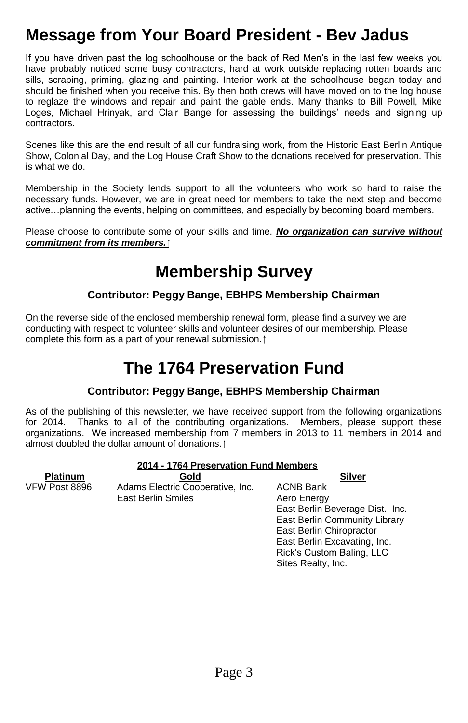## **Message from Your Board President - Bev Jadus**

If you have driven past the log schoolhouse or the back of Red Men's in the last few weeks you have probably noticed some busy contractors, hard at work outside replacing rotten boards and sills, scraping, priming, glazing and painting. Interior work at the schoolhouse began today and should be finished when you receive this. By then both crews will have moved on to the log house to reglaze the windows and repair and paint the gable ends. Many thanks to Bill Powell, Mike Loges, Michael Hrinyak, and Clair Bange for assessing the buildings' needs and signing up contractors.

Scenes like this are the end result of all our fundraising work, from the Historic East Berlin Antique Show, Colonial Day, and the Log House Craft Show to the donations received for preservation. This is what we do.

Membership in the Society lends support to all the volunteers who work so hard to raise the necessary funds. However, we are in great need for members to take the next step and become active...planning the events, helping on committees, and especially by becoming board members.

Please choose to contribute some of your skills and time. *No organization can survive without commitment from its members.*

## **Membership Survey**

#### **Contributor: Peggy Bange, EBHPS Membership Chairman**

On the reverse side of the enclosed membership renewal form, please find a survey we are conducting with respect to volunteer skills and volunteer desires of our membership. Please complete this form as a part of your renewal submission.

### **The 1764 Preservation Fund**

#### **Contributor: Peggy Bange, EBHPS Membership Chairman**

As of the publishing of this newsletter, we have received support from the following organizations for 2014. Thanks to all of the contributing organizations. Members, please support these organizations. We increased membership from 7 members in 2013 to 11 members in 2014 and almost doubled the dollar amount of donations.

> East Berlin Excavating, Inc. Rick's Custom Baling, LLC

Sites Realty, Inc.

| 2014 - 1764 Preservation Fund Members |                                  |                                  |
|---------------------------------------|----------------------------------|----------------------------------|
| <b>Platinum</b>                       | Gold                             | Silver                           |
| VFW Post 8896                         | Adams Electric Cooperative, Inc. | <b>ACNB Bank</b>                 |
|                                       | <b>East Berlin Smiles</b>        | Aero Energy                      |
|                                       |                                  | East Berlin Beverage Dist., Inc. |
|                                       |                                  | East Berlin Community Library    |
|                                       |                                  | East Berlin Chiropractor         |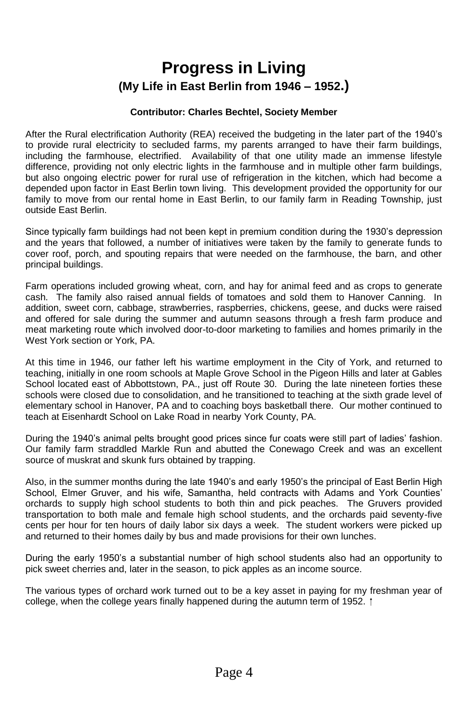### **Progress in Living (My Life in East Berlin from 1946 –1952.)**

#### **Contributor: Charles Bechtel, Society Member**

After the Rural electrification Authority (REA) received the budgeting in the later part of the 1940's to provide rural electricity to secluded farms, my parents arranged to have their farm buildings, including the farmhouse, electrified. Availability of that one utility made an immense lifestyle difference, providing not only electric lights in the farmhouse and in multiple other farm buildings, but also ongoing electric power for rural use of refrigeration in the kitchen, which had become a depended upon factor in East Berlin town living. This development provided the opportunity for our family to move from our rental home in East Berlin, to our family farm in Reading Township, just outside East Berlin.

Since typically farm buildings had not been kept in premium condition during the 1930's depression and the years that followed, a number of initiatives were taken by the family to generate funds to cover roof, porch, and spouting repairs that were needed on the farmhouse, the barn, and other principal buildings.

Farm operations included growing wheat, corn, and hay for animal feed and as crops to generate cash. The family also raised annual fields of tomatoes and sold them to Hanover Canning. In addition, sweet corn, cabbage, strawberries, raspberries, chickens, geese, and ducks were raised and offered for sale during the summer and autumn seasons through a fresh farm produce and meat marketing route which involved door-to-door marketing to families and homes primarily in the West York section or York, PA.

At this time in 1946, our father left his wartime employment in the City of York, and returned to teaching, initially in one room schools at Maple Grove School in the Pigeon Hills and later at Gables School located east of Abbottstown, PA., just off Route 30. During the late nineteen forties these schools were closed due to consolidation, and he transitioned to teaching at the sixth grade level of elementary school in Hanover, PA and to coaching boys basketball there. Our mother continued to teach at Eisenhardt School on Lake Road in nearby York County, PA.

During the 1940's animal pelts brought good prices since fur coats were still part of ladies' fashion. Our family farm straddled Markle Run and abutted the Conewago Creek and was an excellent source of muskrat and skunk furs obtained by trapping.

Also, in the summer months during the late 1940's and early 1950's the principal of East Berlin High School, Elmer Gruver, and his wife, Samantha, held contracts with Adams and York Counties' orchards to supply high school students to both thin and pick peaches. The Gruvers provided transportation to both male and female high school students, and the orchards paid seventy-five cents per hour for ten hours of daily labor six days a week. The student workers were picked up and returned to their homes daily by bus and made provisions for their own lunches.

During the early 1950's a substantial number of high school students also had an opportunity to pick sweet cherries and, later in the season, to pick apples as an income source.

The various types of orchard work turned out to be a key asset in paying for my freshman year of college, when the college years finally happened during the autumn term of 1952.  $\uparrow$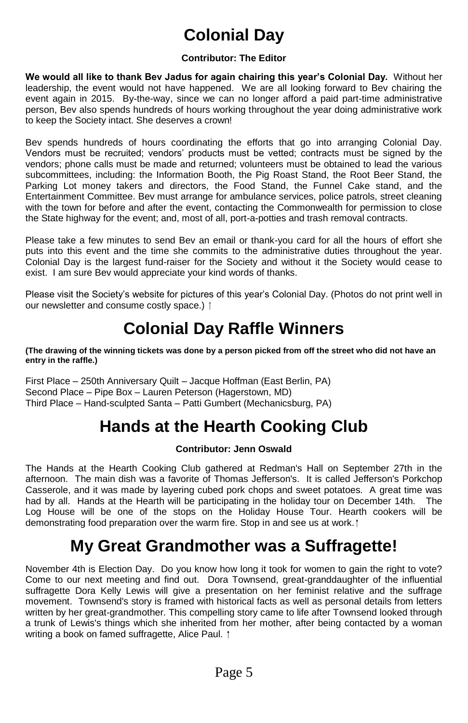# **Colonial Day**

#### **Contributor: The Editor**

We would all like to thank Bev Jadus for again chairing this year's Colonial Day. Without her leadership, the event would not have happened. We are all looking forward to Bev chairing the event again in 2015. By-the-way, since we can no longer afford a paid part-time administrative person, Bev also spends hundreds of hours working throughout the year doing administrative work to keep the Society intact. She deserves a crown!

Bev spends hundreds of hours coordinating the efforts that go into arranging Colonial Day. Vendors must be recruited; vendors' products must be vetted; contracts must be signed by the vendors; phone calls must be made and returned; volunteers must be obtained to lead the various subcommittees, including: the Information Booth, the Pig Roast Stand, the Root Beer Stand, the Parking Lot money takers and directors, the Food Stand, the Funnel Cake stand, and the Entertainment Committee. Bev must arrange for ambulance services, police patrols, street cleaning with the town for before and after the event, contacting the Commonwealth for permission to close the State highway for the event; and, most of all, port-a-potties and trash removal contracts.

Please take a few minutes to send Bev an email or thank-you card for all the hours of effort she puts into this event and the time she commits to the administrative duties throughout the year. Colonial Day is the largest fund-raiser for the Society and without it the Society would cease to exist. I am sure Bev would appreciate your kind words of thanks.

Please visit the Society's website for pictures of this year's Colonial Day. (Photos do not print well in our newsletter and consume costly space.)  $\hat{I}$ 

## **Colonial Day Raffle Winners**

**(The drawing of the winning tickets was done by a person picked from off the street who did not have an entry in the raffle.)**

First Place –250th Anniversary Quilt –Jacque Hoffman (East Berlin, PA) Second Place – Pipe Box – Lauren Peterson (Hagerstown, MD) Third Place – Hand-sculpted Santa – Patti Gumbert (Mechanicsburg, PA)

## **Hands at the Hearth Cooking Club**

#### **Contributor: Jenn Oswald**

The Hands at the Hearth Cooking Club gathered at Redman's Hall on September 27th in the afternoon. The main dish was a favorite of Thomas Jefferson's. It is called Jefferson's Porkchop Casserole, and it was made by layering cubed pork chops and sweet potatoes. A great time was had by all. Hands at the Hearth will be participating in the holiday tour on December 14th. The Log House will be one of the stops on the Holiday House Tour. Hearth cookers will be demonstrating food preparation over the warm fire. Stop in and see us at work.  $\uparrow$ 

### **My Great Grandmother was a Suffragette!**

November 4th is Election Day. Do you know how long it took for women to gain the right to vote? Come to our next meeting and find out. Dora Townsend, great-granddaughter of the influential suffragette Dora Kelly Lewis will give a presentation on her feminist relative and the suffrage movement. Townsend's story is framed with historical facts as well as personal details from letters written by her great-grandmother. This compelling story came to life after Townsend looked through a trunk of Lewis's things which she inherited from her mother, after being contacted by a woman writing a book on famed suffragette, Alice Paul. 1